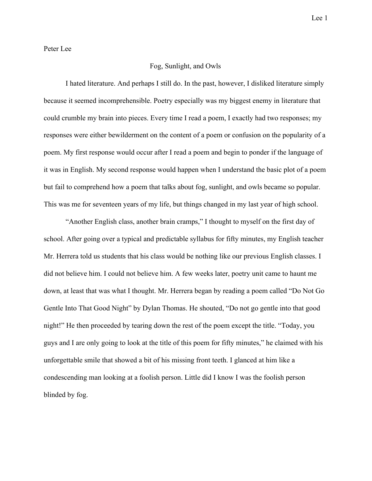## Peter Lee

## Fog, Sunlight, and Owls

I hated literature. And perhaps I still do. In the past, however, I disliked literature simply because it seemed incomprehensible. Poetry especially was my biggest enemy in literature that could crumble my brain into pieces. Every time I read a poem, I exactly had two responses; my responses were either bewilderment on the content of a poem or confusion on the popularity of a poem. My first response would occur after I read a poem and begin to ponder if the language of it was in English. My second response would happen when I understand the basic plot of a poem but fail to comprehend how a poem that talks about fog, sunlight, and owls became so popular. This was me for seventeen years of my life, but things changed in my last year of high school.

"Another English class, another brain cramps," I thought to myself on the first day of school. After going over a typical and predictable syllabus for fifty minutes, my English teacher Mr. Herrera told us students that his class would be nothing like our previous English classes. I did not believe him. I could not believe him. A few weeks later, poetry unit came to haunt me down, at least that was what I thought. Mr. Herrera began by reading a poem called "Do Not Go Gentle Into That Good Night" by Dylan Thomas. He shouted, "Do not go gentle into that good night!" He then proceeded by tearing down the rest of the poem except the title. "Today, you guys and I are only going to look at the title of this poem for fifty minutes," he claimed with his unforgettable smile that showed a bit of his missing front teeth. I glanced at him like a condescending man looking at a foolish person. Little did I know I was the foolish person blinded by fog.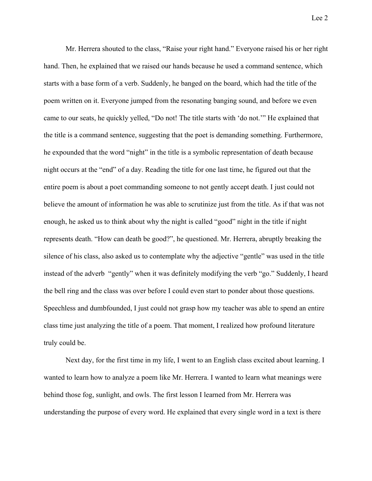Mr. Herrera shouted to the class, "Raise your right hand." Everyone raised his or her right hand. Then, he explained that we raised our hands because he used a command sentence, which starts with a base form of a verb. Suddenly, he banged on the board, which had the title of the poem written on it. Everyone jumped from the resonating banging sound, and before we even came to our seats, he quickly yelled, "Do not! The title starts with 'do not.'" He explained that the title is a command sentence, suggesting that the poet is demanding something. Furthermore, he expounded that the word "night" in the title is a symbolic representation of death because night occurs at the "end" of a day. Reading the title for one last time, he figured out that the entire poem is about a poet commanding someone to not gently accept death. I just could not believe the amount of information he was able to scrutinize just from the title. As if that was not enough, he asked us to think about why the night is called "good" night in the title if night represents death. "How can death be good?", he questioned. Mr. Herrera, abruptly breaking the silence of his class, also asked us to contemplate why the adjective "gentle" was used in the title instead of the adverb "gently" when it was definitely modifying the verb "go." Suddenly, I heard the bell ring and the class was over before I could even start to ponder about those questions. Speechless and dumbfounded, I just could not grasp how my teacher was able to spend an entire class time just analyzing the title of a poem. That moment, I realized how profound literature truly could be.

Next day, for the first time in my life, I went to an English class excited about learning. I wanted to learn how to analyze a poem like Mr. Herrera. I wanted to learn what meanings were behind those fog, sunlight, and owls. The first lesson I learned from Mr. Herrera was understanding the purpose of every word. He explained that every single word in a text is there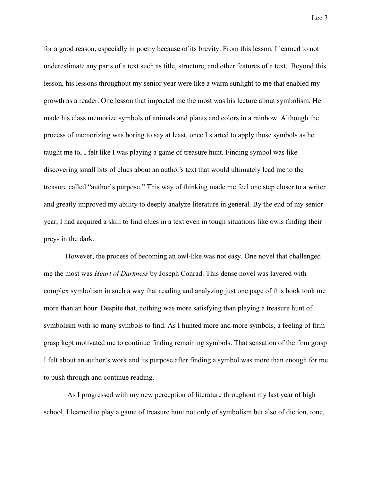for a good reason, especially in poetry because of its brevity. From this lesson, I learned to not underestimate any parts of a text such as title, structure, and other features of a text. Beyond this lesson, his lessons throughout my senior year were like a warm sunlight to me that enabled my growth as a reader. One lesson that impacted me the most was his lecture about symbolism. He made his class memorize symbols of animals and plants and colors in a rainbow. Although the process of memorizing was boring to say at least, once I started to apply those symbols as he taught me to, I felt like I was playing a game of treasure hunt. Finding symbol was like discovering small bits of clues about an author's text that would ultimately lead me to the treasure called "author's purpose." This way of thinking made me feel one step closer to a writer and greatly improved my ability to deeply analyze literature in general. By the end of my senior year, I had acquired a skill to find clues in a text even in tough situations like owls finding their preys in the dark.

However, the process of becoming an owl-like was not easy. One novel that challenged me the most was *Heart of Darkness* by Joseph Conrad. This dense novel was layered with complex symbolism in such a way that reading and analyzing just one page of this book took me more than an hour. Despite that, nothing was more satisfying than playing a treasure hunt of symbolism with so many symbols to find. As I hunted more and more symbols, a feeling of firm grasp kept motivated me to continue finding remaining symbols. That sensation of the firm grasp I felt about an author's work and its purpose after finding a symbol was more than enough for me to push through and continue reading.

 As I progressed with my new perception of literature throughout my last year of high school, I learned to play a game of treasure hunt not only of symbolism but also of diction, tone,